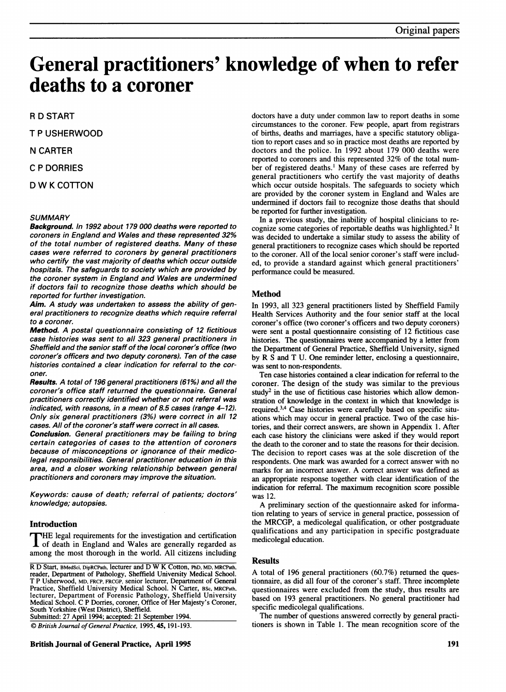# General practitioners' knowledge of when to refer deaths to a coroner

R D START

T P USHERWOOD

N CARTER

C P DORRIES

<sup>D</sup> W <sup>K</sup> COTTON

# **SUMMARY**

Background. In 1992 about 179 000 deaths were reported to coroners in England and Wales and these represented 32% of the total number of registered deaths. Many of these cases were referred to coroners by general practitioners who certify the vast majority of deaths which occur outside hospitals. The safeguards to society which are provided by the coroner system in England and Wales are undermined if doctors fail to recognize those deaths which should be reported for further investigation.

Aim. A study was undertaken to assess the ability of general practitioners to recognize deaths which require referral to a coroner.

Method. A postal questionnaire consisting of <sup>12</sup> fictitious case histories was sent to all 323 general practitioners in Sheffield and the senior staff of the local coroner's office (two coroner's officers and two deputy coroners). Ten of the case histories contained a clear indication for referral to the coroner.

Results. A total of 196 general practitioners (61%) and all the coroner's office staff returned the questionnaire. General practitioners correctly identified whether or not referral was indicated, with reasons, in a mean of 8.5 cases (range 4-12). Only six general practitioners (3%) were correct in all 12 cases. All of the coroner's staff were correct in all cases.

Conclusion. General practitioners may be failing to bring certain categories of cases to the attention of coroners because of misconceptions or ignorance of their medicolegal responsibilities. General practitioner education in this area, and a closer working relationship between general practitioners and coroners may improve the situation.

Keywords: cause of death; referral of patients; doctors' knowledge; autopsies.

# Introduction

THE legal requirements for the investigation and certification of death in England and Wales are generally regarded as among the most thorough in the world. All citizens including

Submitted: 27 April 1994; accepted: 21 September 1994.

C British Journal of General Practice, 1995, 45, 191-193.

British Journal of General Practice, April 1995 191

doctors have a duty under common law to report deaths in some circumstances to the coroner. Few people, apart from registrars of births, deaths and marriages, have a specific statutory obligation to report cases and so in practice most deaths are reported by doctors and the police. In 1992 about 179 000 deaths were reported to coroners and this represented 32% of the total number of registered deaths.' Many of these cases are referred by general practitioners who certify the vast majority of deaths which occur outside hospitals. The safeguards to society which are provided by the coroner system in England and Wales are undermined if doctors fail to recognize those deaths that should be reported for further investigation.

In a previous study, the inability of hospital clinicians to recognize some categories of reportable deaths was highlighted.2 It was decided to undertake a similar study to assess the ability of general practitioners to recognize cases which should be reported to the coroner. All of the local senior coroner's staff were included, to provide a standard against which general practitioners' performance could be measured.

# Method

In 1993, all 323 general practitioners listed by Sheffield Family Health Services Authority and the four senior staff at the local coroner's office (two coroner's officers and two deputy coroners) were sent a postal questionnaire consisting of 12 fictitious case histories. The questionnaires were accompanied by a letter from the Department of General Practice, Sheffield University, signed by R S and T U. One reminder letter, enclosing <sup>a</sup> questionnaire, was sent to non-respondents.

Ten case histories contained a clear indication for referral to the coroner. The design of the study was similar to the previous study<sup>2</sup> in the use of fictitious case histories which allow demonstration of knowledge in the context in which that knowledge is required.34 Case histories were carefully based on specific situations which may occur in general practice. Two of the case histories, and their correct answers, are shown in Appendix 1. After each case history the clinicians were asked if they would report the death to the coroner and to state the reasons for their decision. The decision to report cases was at the sole discretion of the respondents. One mark was awarded for a correct answer with no marks for an incorrect answer. A correct answer was defined as an appropriate response together with clear identification of the indication for referral. The maximum recognition score possible was 12.

A preliminary section of the questionnaire asked for information relating to years of service in general practice, possession of the MRCGP, <sup>a</sup> medicolegal qualification, or other postgraduate qualifications and any participation in specific postgraduate medicolegal education.

## Results

A total of <sup>196</sup> general practitioners (60.7%) returned the questionnaire, as did all four of the coroner's staff. Three incomplete questionnaires were excluded from the study, thus results are based on 193 general practitioners. No general practitioner had specific medicolegal qualifications.

The number of questions answered correctly by general practitioners is shown in Table 1. The mean recognition score of the

R D Start, BMedSci, DipRCPath, lecturer and D W K Cotton, PhD, MD, MRCPath, reader, Department of Pathology, Sheffield University Medical School. T P Usherwood, MD, FRCP, FRCGP, senior lecturer, Department of General Practice, Sheffield University Medical School. N Carter, BSc, MRCPath, lecturer, Department of Forensic Pathology, Sheffield University Medical School. C P Dorries, coroner, Office of Her Majesty's Coroner, South Yorkshire (West District), Sheffield.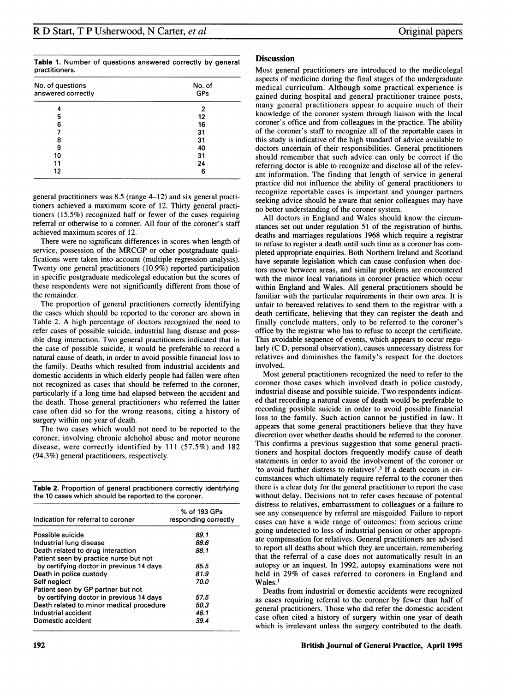Table 1. Number of questions answered correctly by general practitioners.

| No. of questions<br>answered correctly | No. of<br>GPs |
|----------------------------------------|---------------|
|                                        |               |
|                                        |               |
| 5                                      | 12            |
| 6                                      | 16            |
|                                        | 31            |
| 8                                      | 31            |
| 9                                      | 40            |
| 10                                     | 31            |
| 11                                     | 24            |
| 12                                     | 6             |

general practitioners was 8.5 (range 4-12) and six general practitioners achieved a maximum score of 12. Thirty general practitioners (15.5%) recognized half or fewer of the cases requiring referral or otherwise to a coroner. All four of the coroner's staff achieved maximum scores of 12.

There were no significant differences in scores when length of service, possession of the MRCGP or other postgraduate qualifications were taken into account (multiple regression analysis). Twenty one general practitioners (10.9%) reported participation in specific postgraduate medicolegal education but the scores of these respondents were not significantly different from those of the remainder.

The proportion of general practitioners correctly identifying the cases which should be reported to the coroner are shown in Table 2. A high percentage of doctors recognized the need to refer cases of possible suicide, industrial lung disease and possible drug interaction. Two general practitioners indicated that in the case of possible suicide, it would be preferable to record a natural cause of death, in order to avoid possible financial loss to the family. Deaths which resulted from industrial accidents and domestic accidents in which elderly people had fallen were often not recognized as cases that should be referred to the coroner, particularly if a long time had elapsed between the accident and the death. Those general practitioners who referred the latter case often did so for the wrong reasons, citing a history of surgery within one year of death.

The two cases which would not need to be reported to the coroner, involving chronic alchohol abuse and motor neurone disease, were correctly identified by 111 (57.5%) and 182 (94.3%) general practitioners, respectively.

Table 2. Proportion of general practitioners correctly identifying the 10 cases which should be reported to the coroner.

| Indication for referral to coroner       | % of 193 GPs<br>responding correctly |
|------------------------------------------|--------------------------------------|
| Possible suicide                         | 89.1                                 |
| Industrial lung disease                  | 88.6                                 |
| Death related to drug interaction        | 88.1                                 |
| Patient seen by practice nurse but not   |                                      |
| by certifying doctor in previous 14 days | 85.5                                 |
| Death in police custody                  | 81.9                                 |
| Self neglect                             | 70.O                                 |
| Patient seen by GP partner but not       |                                      |
| by certifying doctor in previous 14 days | 57.5                                 |
| Death related to minor medical procedure | 50.3                                 |
| Industrial accident                      | 46.1                                 |
| Domestic accident                        | 39.4                                 |

# **Discussion**

Most general practitioners are introduced to the medicolegal aspects of medicine during the final stages of the undergraduate medical curriculum. Although some practical experience is gained during hospital and general practitioner trainee posts, many general practitioners appear to acquire much of their knowledge of the coroner system through liaison with the local coroner's office and from colleagues in the practice. The ability of the coroner's staff to recognize all of the reportable cases in this study is indicative of the high standard of advice available to doctors uncertain of their responsibilities. General practitioners should remember that such advice can only be correct if the referring doctor is able to recognize and disclose all of the relevant information. The finding that length of service in general practice did not influence the ability of general practitioners to recognize reportable cases is important and younger partners seeking advice should be aware that senior colleagues may have no better understanding of the coroner system.

All doctors in England and Wales should know the circumstances set out under regulation 51 of the registration of births, deaths and marriages regulations 1968 which require a registrar to refuse to register a death until such time as a coroner has completed appropriate enquiries. Both Northern Ireland and Scotland have separate legislation which can cause confusion when doctors move between areas, and similar problems are encountered with the minor local variations in coroner practice which occur within England and Wales. All general practitioners should be familiar with the particular requirements in their own area. It is unfair to bereaved relatives to send them to the registrar with a death certificate, believing that they can register the death and finally conclude matters, only to be referred to the coroner's office by the registrar who has to refuse to accept the certificate. This avoidable sequence of events, which appears to occur regularly (C D, personal observation), causes unnecessary distress for relatives and diminishes the family's respect for the doctors involved.

Most general practitioners recognized the need to refer to the coroner those cases which involved death in police custody, industrial disease and possible suicide. Two respondents indicated that recording a natural cause of death would be preferable to recording possible suicide in order to avoid possible financial loss to the family. Such action cannot be justified in law. It appears that some general practitioners believe that they have discretion over whether deaths should be referred to the coroner. This confirms a previous suggestion that some general practitioners and hospital doctors frequently modify cause of death statements in order to avoid the involvement of the coroner or 'to avoid further distress to relatives'.5 If a death occurs in circumstances which ultimately require referral to the coroner then there is a clear duty for the general practitioner to report the case without delay. Decisions not to refer cases because of potential distress to relatives, embarrassment to colleagues or a failure to see any consequence by referral are misguided. Failure to report cases can have a wide range of outcomes: from serious crime going undetected to loss of industrial pension or other appropriate compensation for relatives. General practitioners are advised to report all deaths about which they are uncertain, remembering that the referral of a case does not automatically result in an autopsy or an inquest. In 1992, autopsy examinations were not held in 29% of cases referred to coroners in England and Wales.'

Deaths from industrial or domestic accidents were recognized as cases requiring referral to the coroner by fewer than half of general practitioners. Those who did refer the domestic accident case often cited a history of surgery within one year of death which is irrelevant unless the surgery contributed to the death.